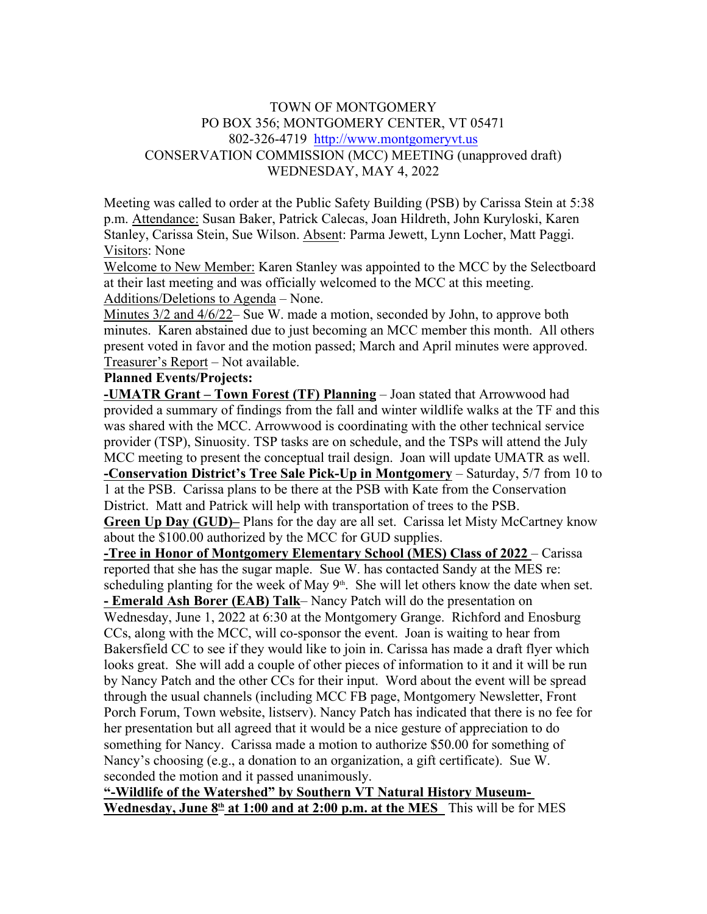## TOWN OF MONTGOMERY PO BOX 356; MONTGOMERY CENTER, VT 05471 802-326-4719 http://www.montgomeryvt.us CONSERVATION COMMISSION (MCC) MEETING (unapproved draft) WEDNESDAY, MAY 4, 2022

Meeting was called to order at the Public Safety Building (PSB) by Carissa Stein at 5:38 p.m. Attendance: Susan Baker, Patrick Calecas, Joan Hildreth, John Kuryloski, Karen Stanley, Carissa Stein, Sue Wilson. Absent: Parma Jewett, Lynn Locher, Matt Paggi. Visitors: None

Welcome to New Member: Karen Stanley was appointed to the MCC by the Selectboard at their last meeting and was officially welcomed to the MCC at this meeting. Additions/Deletions to Agenda – None.

Minutes 3/2 and 4/6/22– Sue W. made a motion, seconded by John, to approve both minutes. Karen abstained due to just becoming an MCC member this month. All others present voted in favor and the motion passed; March and April minutes were approved. Treasurer's Report – Not available.

## **Planned Events/Projects:**

**-UMATR Grant – Town Forest (TF) Planning** – Joan stated that Arrowwood had provided a summary of findings from the fall and winter wildlife walks at the TF and this was shared with the MCC. Arrowwood is coordinating with the other technical service provider (TSP), Sinuosity. TSP tasks are on schedule, and the TSPs will attend the July MCC meeting to present the conceptual trail design. Joan will update UMATR as well.

**-Conservation District's Tree Sale Pick-Up in Montgomery** – Saturday, 5/7 from 10 to 1 at the PSB. Carissa plans to be there at the PSB with Kate from the Conservation District. Matt and Patrick will help with transportation of trees to the PSB.

**Green Up Day (GUD)–** Plans for the day are all set. Carissa let Misty McCartney know about the \$100.00 authorized by the MCC for GUD supplies.

**-Tree in Honor of Montgomery Elementary School (MES) Class of 2022** – Carissa reported that she has the sugar maple. Sue W. has contacted Sandy at the MES re: scheduling planting for the week of May  $9<sup>th</sup>$ . She will let others know the date when set.

**- Emerald Ash Borer (EAB) Talk**– Nancy Patch will do the presentation on Wednesday, June 1, 2022 at 6:30 at the Montgomery Grange. Richford and Enosburg CCs, along with the MCC, will co-sponsor the event. Joan is waiting to hear from Bakersfield CC to see if they would like to join in. Carissa has made a draft flyer which looks great. She will add a couple of other pieces of information to it and it will be run by Nancy Patch and the other CCs for their input. Word about the event will be spread through the usual channels (including MCC FB page, Montgomery Newsletter, Front Porch Forum, Town website, listserv). Nancy Patch has indicated that there is no fee for her presentation but all agreed that it would be a nice gesture of appreciation to do something for Nancy. Carissa made a motion to authorize \$50.00 for something of Nancy's choosing (e.g., a donation to an organization, a gift certificate). Sue W. seconded the motion and it passed unanimously.

**"-Wildlife of the Watershed" by Southern VT Natural History Museum- Wednesday, June 8th at 1:00 and at 2:00 p.m. at the MES** This will be for MES